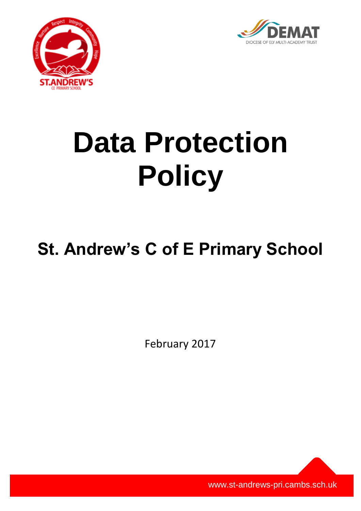



# **Data Protection Policy**

# **St. Andrew's C of E Primary School**

February 2017

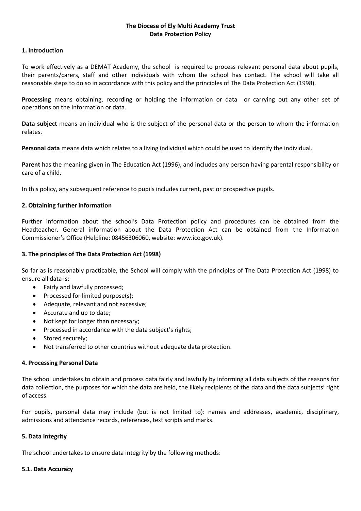## **The Diocese of Ely Multi Academy Trust Data Protection Policy**

#### **1. Introduction**

To work effectively as a DEMAT Academy, the school is required to process relevant personal data about pupils, their parents/carers, staff and other individuals with whom the school has contact. The school will take all reasonable steps to do so in accordance with this policy and the principles of The Data Protection Act (1998).

**Processing** means obtaining, recording or holding the information or data or carrying out any other set of operations on the information or data.

**Data subject** means an individual who is the subject of the personal data or the person to whom the information relates.

**Personal data** means data which relates to a living individual which could be used to identify the individual.

**Parent** has the meaning given in The Education Act (1996), and includes any person having parental responsibility or care of a child.

In this policy, any subsequent reference to pupils includes current, past or prospective pupils.

## **2. Obtaining further information**

Further information about the school's Data Protection policy and procedures can be obtained from the Headteacher. General information about the Data Protection Act can be obtained from the Information Commissioner's Office (Helpline: 08456306060, website: www.ico.gov.uk).

#### **3. The principles of The Data Protection Act (1998)**

So far as is reasonably practicable, the School will comply with the principles of The Data Protection Act (1998) to ensure all data is:

- Fairly and lawfully processed;
- Processed for limited purpose(s);
- Adequate, relevant and not excessive;
- Accurate and up to date;
- Not kept for longer than necessary;
- Processed in accordance with the data subject's rights;
- Stored securely:
- Not transferred to other countries without adequate data protection.

#### **4. Processing Personal Data**

The school undertakes to obtain and process data fairly and lawfully by informing all data subjects of the reasons for data collection, the purposes for which the data are held, the likely recipients of the data and the data subjects' right of access.

For pupils, personal data may include (but is not limited to): names and addresses, academic, disciplinary, admissions and attendance records, references, test scripts and marks.

#### **5. Data Integrity**

The school undertakes to ensure data integrity by the following methods:

#### **5.1. Data Accuracy**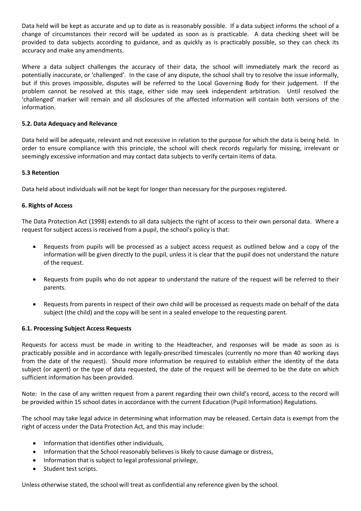Data held will be kept as accurate and up to date as is reasonably possible. If a data subject informs the school of a change of circumstances their record will be updated as soon as is practicable. A data checking sheet will be provided to data subjects according to guidance, and as quickly as is practicably possible, so they can check its accuracy and make any amendments.

Where a data subject challenges the accuracy of their data, the school will immediately mark the record as potentially inaccurate, or 'challenged'. In the case of any dispute, the school shall try to resolve the issue informally, but if this proves impossible, disputes will be referred to the Local Governing Body for their judgement. If the problem cannot be resolved at this stage, either side may seek independent arbitration. Until resolved the 'challenged' marker will remain and all disclosures of the affected information will contain both versions of the information.

# **5.2. Data Adequacy and Relevance**

Data held will be adequate, relevant and not excessive in relation to the purpose for which the data is being held. In order to ensure compliance with this principle, the school will check records regularly for missing, irrelevant or seemingly excessive information and may contact data subjects to verify certain items of data.

#### **5.3 Retention**

Data held about individuals will not be kept for longer than necessary for the purposes registered.

## **6. Rights of Access**

The Data Protection Act (1998) extends to all data subjects the right of access to their own personal data. Where a request for subject access is received from a pupil, the school's policy is that:

- Requests from pupils will be processed as a subject access request as outlined below and a copy of the information will be given directly to the pupil, unless it is clear that the pupil does not understand the nature of the request.
- Requests from pupils who do not appear to understand the nature of the request will be referred to their parents.
- Requests from parents in respect of their own child will be processed as requests made on behalf of the data subject (the child) and the copy will be sent in a sealed envelope to the requesting parent.

#### **6.1. Processing Subject Access Requests**

Requests for access must be made in writing to the Headteacher, and responses will be made as soon as is practicably possible and in accordance with legally-prescribed timescales (currently no more than 40 working days from the date of the request). Should more information be required to establish either the identity of the data subject (or agent) or the type of data requested, the date of the request will be deemed to be the date on which sufficient information has been provided.

Note: In the case of any written request from a parent regarding their own child's record, access to the record will be provided within 15 school dates in accordance with the current Education (Pupil Information) Regulations.

The school may take legal advice in determining what information may be released. Certain data is exempt from the right of access under the Data Protection Act, and this may include:

- Information that identifies other individuals,
- Information that the School reasonably believes is likely to cause damage or distress,
- Information that is subject to legal professional privilege,
- Student test scripts.

Unless otherwise stated, the school will treat as confidential any reference given by the school.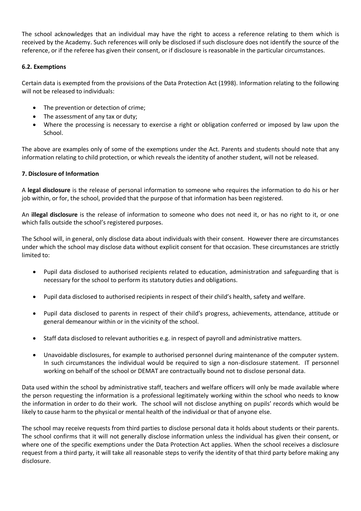The school acknowledges that an individual may have the right to access a reference relating to them which is received by the Academy. Such references will only be disclosed if such disclosure does not identify the source of the reference, or if the referee has given their consent, or if disclosure is reasonable in the particular circumstances.

# **6.2. Exemptions**

Certain data is exempted from the provisions of the Data Protection Act (1998). Information relating to the following will not be released to individuals:

- The prevention or detection of crime;
- The assessment of any tax or duty;
- Where the processing is necessary to exercise a right or obligation conferred or imposed by law upon the School.

The above are examples only of some of the exemptions under the Act. Parents and students should note that any information relating to child protection, or which reveals the identity of another student, will not be released.

# **7. Disclosure of Information**

A **legal disclosure** is the release of personal information to someone who requires the information to do his or her job within, or for, the school, provided that the purpose of that information has been registered.

An **illegal disclosure** is the release of information to someone who does not need it, or has no right to it, or one which falls outside the school's registered purposes.

The School will, in general, only disclose data about individuals with their consent. However there are circumstances under which the school may disclose data without explicit consent for that occasion. These circumstances are strictly limited to:

- Pupil data disclosed to authorised recipients related to education, administration and safeguarding that is necessary for the school to perform its statutory duties and obligations.
- Pupil data disclosed to authorised recipients in respect of their child's health, safety and welfare.
- Pupil data disclosed to parents in respect of their child's progress, achievements, attendance, attitude or general demeanour within or in the vicinity of the school.
- Staff data disclosed to relevant authorities e.g. in respect of payroll and administrative matters.
- Unavoidable disclosures, for example to authorised personnel during maintenance of the computer system. In such circumstances the individual would be required to sign a non-disclosure statement. IT personnel working on behalf of the school or DEMAT are contractually bound not to disclose personal data.

Data used within the school by administrative staff, teachers and welfare officers will only be made available where the person requesting the information is a professional legitimately working within the school who needs to know the information in order to do their work. The school will not disclose anything on pupils' records which would be likely to cause harm to the physical or mental health of the individual or that of anyone else.

The school may receive requests from third parties to disclose personal data it holds about students or their parents. The school confirms that it will not generally disclose information unless the individual has given their consent, or where one of the specific exemptions under the Data Protection Act applies. When the school receives a disclosure request from a third party, it will take all reasonable steps to verify the identity of that third party before making any disclosure.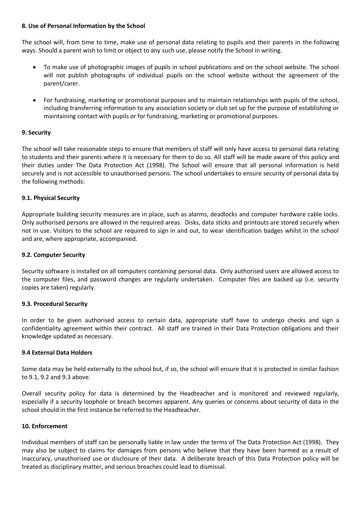#### **8. Use of Personal Information by the School**

The school will, from time to time, make use of personal data relating to pupils and their parents in the following ways. Should a parent wish to limit or object to any such use, please notify the School in writing.

- To make use of photographic images of pupils in school publications and on the school website. The school will not publish photographs of individual pupils on the school website without the agreement of the parent/carer.
- For fundraising, marketing or promotional purposes and to maintain relationships with pupils of the school, including transferring information to any association society or club set up for the purpose of establishing or maintaining contact with pupils or for fundraising, marketing or promotional purposes.

# **9. Security**

The school will take reasonable steps to ensure that members of staff will only have access to personal data relating to students and their parents where it is necessary for them to do so. All staff will be made aware of this policy and their duties under The Data Protection Act (1998). The School will ensure that all personal information is held securely and is not accessible to unauthorised persons. The school undertakes to ensure security of personal data by the following methods:

# **9.1. Physical Security**

Appropriate building security measures are in place, such as alarms, deadlocks and computer hardware cable locks. Only authorised persons are allowed in the required areas. Disks, data sticks and printouts are stored securely when not in use. Visitors to the school are required to sign in and out, to wear identification badges whilst in the school and are, where appropriate, accompanied.

## **9.2. Computer Security**

Security software is installed on all computers containing personal data. Only authorised users are allowed access to the computer files, and password changes are regularly undertaken. Computer files are backed up (i.e. security copies are taken) regularly.

# **9.3. Procedural Security**

In order to be given authorised access to certain data, appropriate staff have to undergo checks and sign a confidentiality agreement within their contract. All staff are trained in their Data Protection obligations and their knowledge updated as necessary.

#### **9.4 External Data Holders**

Some data may be held externally to the school but, if so, the school will ensure that it is protected in similar fashion to 9.1, 9.2 and 9.3 above.

Overall security policy for data is determined by the Headteacher and is monitored and reviewed regularly, especially if a security loophole or breach becomes apparent. Any queries or concerns about security of data in the school should in the first instance be referred to the Headteacher.

#### **10. Enforcement**

Individual members of staff can be personally liable in law under the terms of The Data Protection Act (1998). They may also be subject to claims for damages from persons who believe that they have been harmed as a result of inaccuracy, unauthorised use or disclosure of their data. A deliberate breach of this Data Protection policy will be treated as disciplinary matter, and serious breaches could lead to dismissal.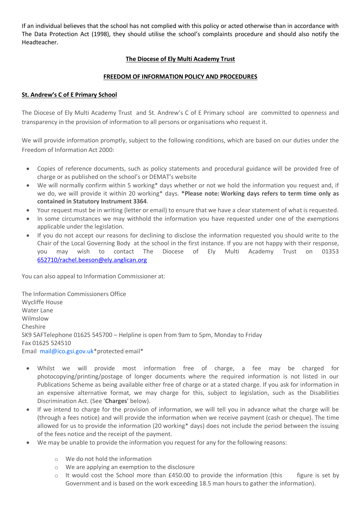If an individual believes that the school has not complied with this policy or acted otherwise than in accordance with The Data Protection Act (1998), they should utilise the school's complaints procedure and should also notify the Headteacher.

# **The Diocese of Ely Multi Academy Trust**

# **FREEDOM OF INFORMATION POLICY AND PROCEDURES**

# **St. Andrew's C of E Primary School**

The Diocese of Ely Multi Academy Trust and St. Andrew's C of E Primary school are committed to openness and transparency in the provision of information to all persons or organisations who request it.

We will provide information promptly, subject to the following conditions, which are based on our duties under the Freedom of Information Act 2000:

- Copies of reference documents, such as policy statements and procedural guidance will be provided free of charge or as published on the school's or DEMAT's website
- We will normally confirm within 5 working\* days whether or not we hold the information you request and, if we do, we will provide it within 20 working\* days. **\*Please note: Working days refers to term time only as contained in Statutory Instrument 3364**.
- Your request must be in writing (letter or email) to ensure that we have a clear statement of what is requested.
- In some circumstances we may withhold the information you have requested under one of the exemptions applicable under the legislation.
- If you do not accept our reasons for declining to disclose the information requested you should write to the Chair of the Local Governing Body at the school in the first instance. If you are not happy with their response, you may wish to contact The Diocese of Ely Multi Academy Trust on 01353 [652710/rachel.beeson@ely.anglican.org](mailto:652710/rachel.beeson@ely.anglican.org)

You can also appeal to Information Commissioner at:

The Information Commissioners Office Wycliffe House Water Lane Wilmslow Cheshire SK9 5AFTelephone 01625 545700 – Helpline is open from 9am to 5pm, Monday to Friday Fax 01625 524510 Email [mail@ico.gsi.gov.uk\\*](mailto:mail@ico.gsi.gov.uk)protected email\*

- Whilst we will provide most information free of charge, a fee may be charged for photocopying/printing/postage of longer documents where the required information is not listed in our Publications Scheme as being available either free of charge or at a stated charge. If you ask for information in an expensive alternative format, we may charge for this, subject to legislation, such as the Disabilities Discrimination Act. (See '**Charges**' below).
- If we intend to charge for the provision of information, we will tell you in advance what the charge will be (through a fees notice) and will provide the information when we receive payment (cash or cheque). The time allowed for us to provide the information (20 working\* days) does not include the period between the issuing of the fees notice and the receipt of the payment.
- We may be unable to provide the information you request for any for the following reasons:
	- o We do not hold the information
	- o We are applying an exemption to the disclosure
	- $\circ$  It would cost the School more than £450.00 to provide the information (this figure is set by Government and is based on the work exceeding 18.5 man hours to gather the information).